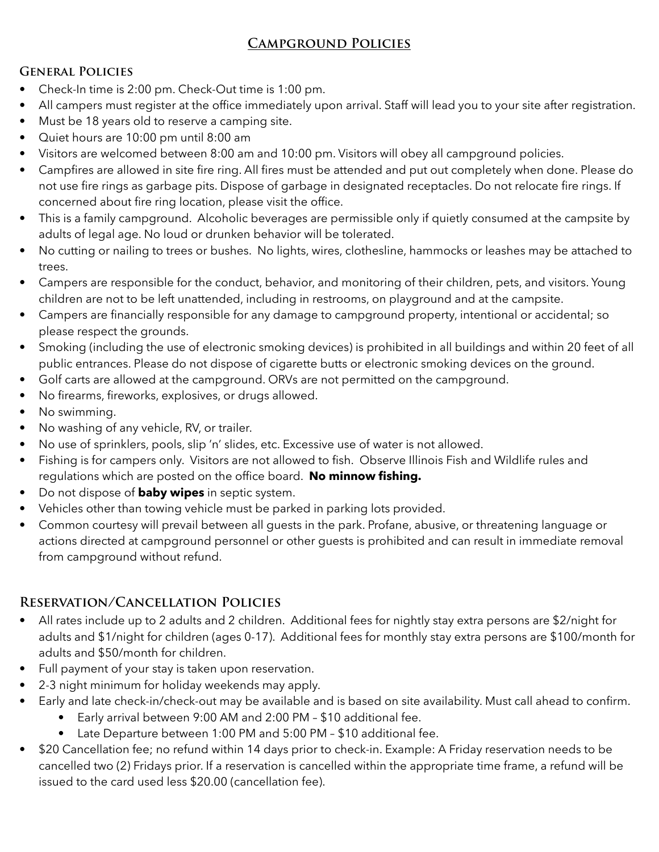# **Campground Policies**

#### **General Policies**

- Check-In time is 2:00 pm. Check-Out time is 1:00 pm.
- All campers must register at the office immediately upon arrival. Staff will lead you to your site after registration.
- Must be 18 years old to reserve a camping site.
- Quiet hours are 10:00 pm until 8:00 am
- Visitors are welcomed between 8:00 am and 10:00 pm. Visitors will obey all campground policies.
- Campfires are allowed in site fire ring. All fires must be attended and put out completely when done. Please do not use fire rings as garbage pits. Dispose of garbage in designated receptacles. Do not relocate fire rings. If concerned about fire ring location, please visit the office.
- This is a family campground. Alcoholic beverages are permissible only if quietly consumed at the campsite by adults of legal age. No loud or drunken behavior will be tolerated.
- No cutting or nailing to trees or bushes. No lights, wires, clothesline, hammocks or leashes may be attached to trees.
- Campers are responsible for the conduct, behavior, and monitoring of their children, pets, and visitors. Young children are not to be left unattended, including in restrooms, on playground and at the campsite.
- Campers are financially responsible for any damage to campground property, intentional or accidental; so please respect the grounds.
- Smoking (including the use of electronic smoking devices) is prohibited in all buildings and within 20 feet of all public entrances. Please do not dispose of cigarette butts or electronic smoking devices on the ground.
- Golf carts are allowed at the campground. ORVs are not permitted on the campground.
- No firearms, fireworks, explosives, or drugs allowed.
- No swimming.
- No washing of any vehicle, RV, or trailer.
- No use of sprinklers, pools, slip 'n' slides, etc. Excessive use of water is not allowed.
- Fishing is for campers only. Visitors are not allowed to fish. Observe Illinois Fish and Wildlife rules and regulations which are posted on the office board. **No minnow fishing.**
- Do not dispose of **baby wipes** in septic system.
- Vehicles other than towing vehicle must be parked in parking lots provided.
- Common courtesy will prevail between all guests in the park. Profane, abusive, or threatening language or actions directed at campground personnel or other guests is prohibited and can result in immediate removal from campground without refund.

### **Reservation/Cancellation Policies**

- All rates include up to 2 adults and 2 children. Additional fees for nightly stay extra persons are \$2/night for adults and \$1/night for children (ages 0-17). Additional fees for monthly stay extra persons are \$100/month for adults and \$50/month for children.
- Full payment of your stay is taken upon reservation.
- 2-3 night minimum for holiday weekends may apply.
- Early and late check-in/check-out may be available and is based on site availability. Must call ahead to confirm.
	- Early arrival between 9:00 AM and 2:00 PM \$10 additional fee.
	- Late Departure between 1:00 PM and 5:00 PM \$10 additional fee.
- \$20 Cancellation fee; no refund within 14 days prior to check-in. Example: A Friday reservation needs to be cancelled two (2) Fridays prior. If a reservation is cancelled within the appropriate time frame, a refund will be issued to the card used less \$20.00 (cancellation fee).